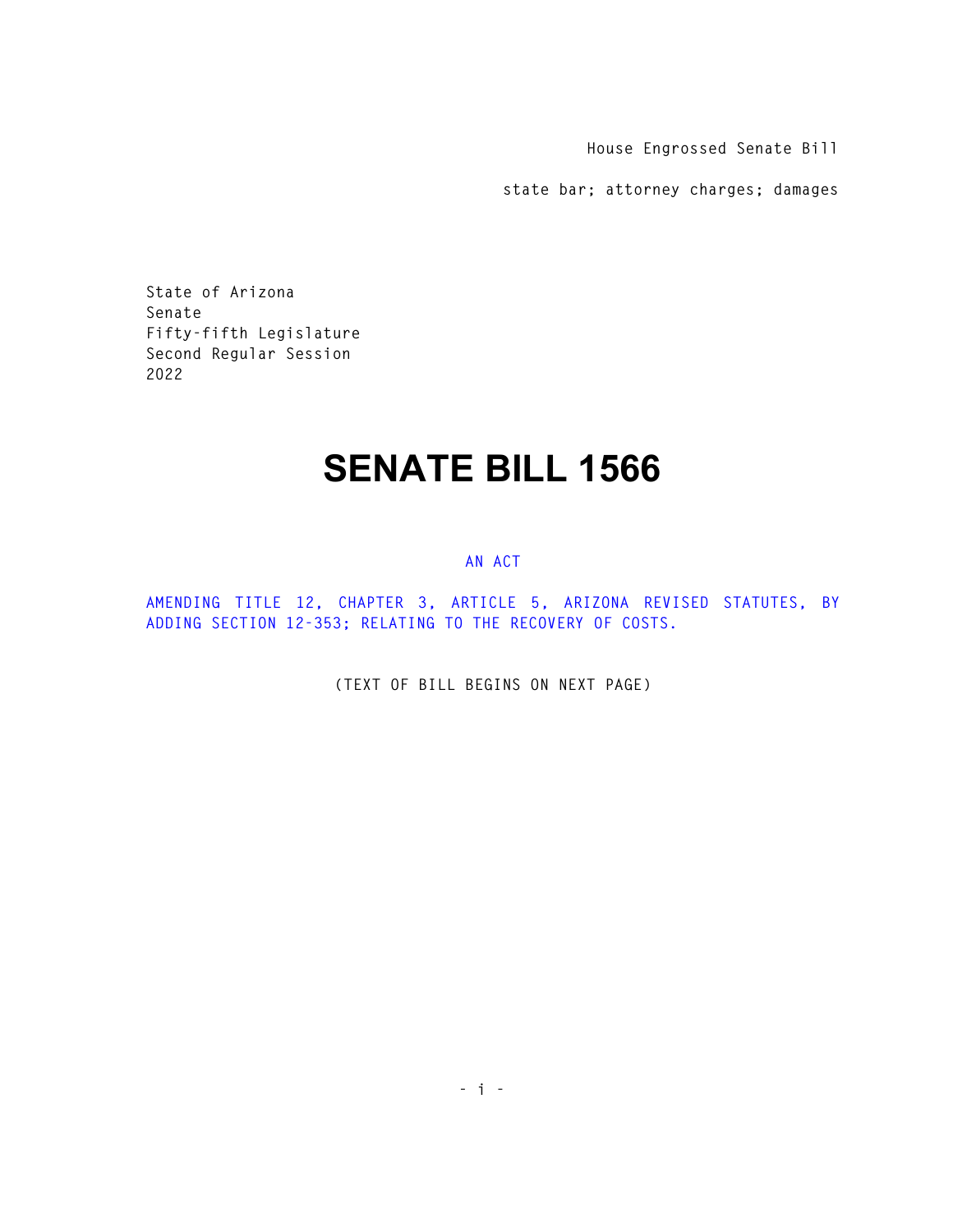**House Engrossed Senate Bill** 

**state bar; attorney charges; damages** 

**State of Arizona Senate Fifty-fifth Legislature Second Regular Session 2022** 

## **SENATE BILL 1566**

## **AN ACT**

**AMENDING TITLE 12, CHAPTER 3, ARTICLE 5, ARIZONA REVISED STATUTES, BY ADDING SECTION 12-353; RELATING TO THE RECOVERY OF COSTS.** 

**(TEXT OF BILL BEGINS ON NEXT PAGE)**